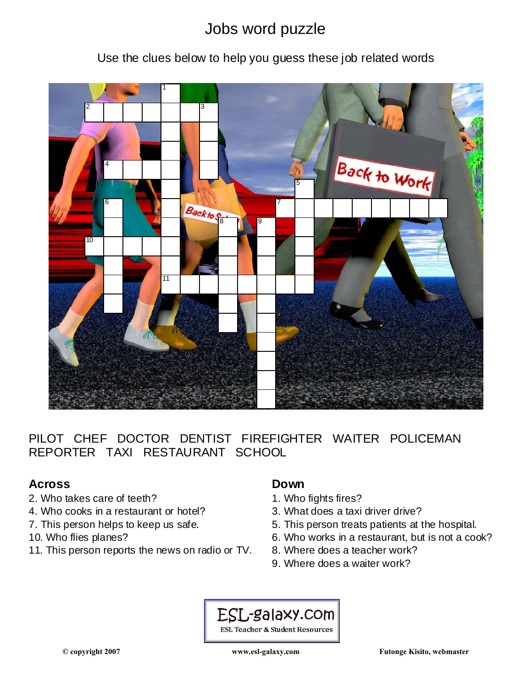# Jobs word puzzle

### Use the clues below to help you guess these job related words



PILOT CHEF DOCTOR DENTIST FIREFIGHTER WAITER POLICEMAN REPORTER TAXI RESTAURANT SCHOOL

### **Across**

- 2. Who takes care of teeth?
- 4. Who cooks in a restaurant or hotel?
- 7. This person helps to keep us safe.
- 10. Who flies planes?
- 11. This person reports the news on radio or TV.

#### **Down**

- 1. Who fights fires?
- 3. What does a taxi driver drive?
- 5. This person treats patients at the hospital.
- 6. Who works in a restaurant, but is not a cook?
- 8. Where does a teacher work?
- 9. Where does a waiter work?

ESL-galaxy.com **ESL Teacher & Student Resources**